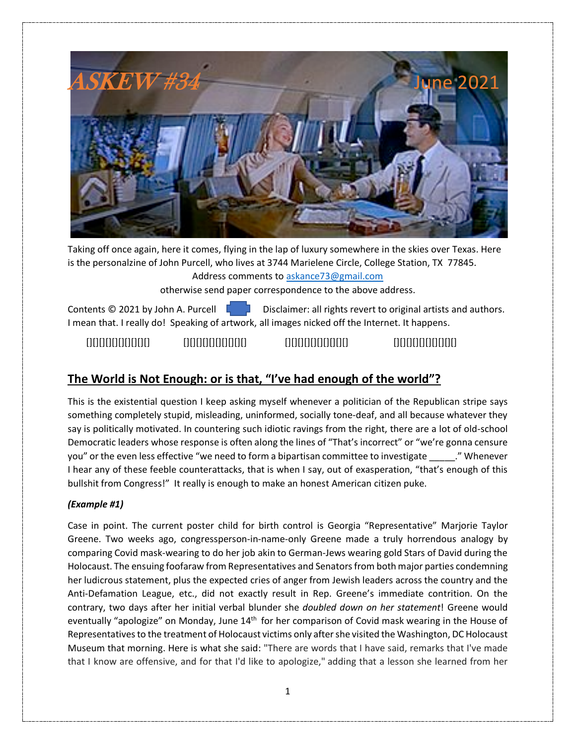

Taking off once again, here it comes, flying in the lap of luxury somewhere in the skies over Texas. Here is the personalzine of John Purcell, who lives at 3744 Marielene Circle, College Station, TX 77845.

Address comments to askance73@gmail.com

otherwise send paper correspondence to the above address.

Contents  $\odot$  2021 by John A. Purcell  $\begin{bmatrix} 1 & 1 \\ 1 & 1 \end{bmatrix}$  Disclaimer: all rights revert to original artists and authors. I mean that. I really do! Speaking of artwork, all images nicked off the Internet. It happens.

[][][][][][][][][][] [][][][][][][][][][] [][][][][][][][][][] [][][][][][][][][][]

# **The World is Not Enough: or is that, "I've had enough of the world"?**

This is the existential question I keep asking myself whenever a politician of the Republican stripe says something completely stupid, misleading, uninformed, socially tone-deaf, and all because whatever they say is politically motivated. In countering such idiotic ravings from the right, there are a lot of old-school Democratic leaders whose response is often along the lines of "That's incorrect" or "we're gonna censure you" or the even less effective "we need to form a bipartisan committee to investigate "Whenever I hear any of these feeble counterattacks, that is when I say, out of exasperation, "that's enough of this bullshit from Congress!" It really is enough to make an honest American citizen puke.

## *(Example #1)*

Case in point. The current poster child for birth control is Georgia "Representative" Marjorie Taylor Greene. Two weeks ago, congressperson-in-name-only Greene made a truly horrendous analogy by comparing Covid mask-wearing to do her job akin to German-Jews wearing gold Stars of David during the Holocaust. The ensuing foofaraw from Representatives and Senators from both major parties condemning her ludicrous statement, plus the expected cries of anger from Jewish leaders across the country and the Anti-Defamation League, etc., did not exactly result in Rep. Greene's immediate contrition. On the contrary, two days after her initial verbal blunder she *doubled down on her statement*! Greene would eventually "apologize" on Monday, June 14<sup>th</sup> for her comparison of Covid mask wearing in the House of Representatives to the treatment of Holocaust victims only after she visited the Washington, DC Holocaust Museum that morning. Here is what she said: "There are words that I have said, remarks that I've made that I know are offensive, and for that I'd like to apologize," adding that a lesson she learned from her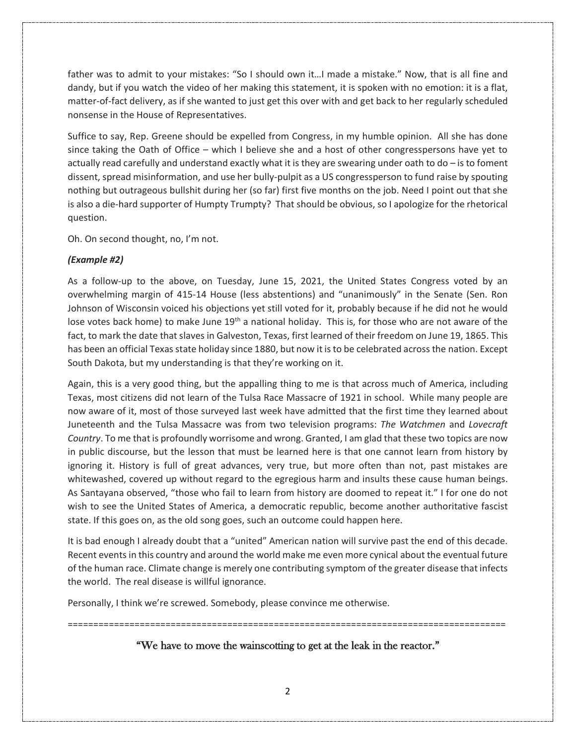father was to admit to your mistakes: "So I should own it…I made a mistake." Now, that is all fine and dandy, but if you watch the video of her making this statement, it is spoken with no emotion: it is a flat, matter-of-fact delivery, as if she wanted to just get this over with and get back to her regularly scheduled nonsense in the House of Representatives.

Suffice to say, Rep. Greene should be expelled from Congress, in my humble opinion. All she has done since taking the Oath of Office – which I believe she and a host of other congresspersons have yet to actually read carefully and understand exactly what it is they are swearing under oath to do – is to foment dissent, spread misinformation, and use her bully-pulpit as a US congressperson to fund raise by spouting nothing but outrageous bullshit during her (so far) first five months on the job. Need I point out that she is also a die-hard supporter of Humpty Trumpty? That should be obvious, so I apologize for the rhetorical question.

Oh. On second thought, no, I'm not.

### *(Example #2)*

As a follow-up to the above, on Tuesday, June 15, 2021, the United States Congress voted by an overwhelming margin of 415-14 House (less abstentions) and "unanimously" in the Senate (Sen. Ron Johnson of Wisconsin voiced his objections yet still voted for it, probably because if he did not he would lose votes back home) to make June 19<sup>th</sup> a national holiday. This is, for those who are not aware of the fact, to mark the date that slaves in Galveston, Texas, first learned of their freedom on June 19, 1865. This has been an official Texas state holiday since 1880, but now it is to be celebrated across the nation. Except South Dakota, but my understanding is that they're working on it.

Again, this is a very good thing, but the appalling thing to me is that across much of America, including Texas, most citizens did not learn of the Tulsa Race Massacre of 1921 in school. While many people are now aware of it, most of those surveyed last week have admitted that the first time they learned about Juneteenth and the Tulsa Massacre was from two television programs: *The Watchmen* and *Lovecraft Country*. To me that is profoundly worrisome and wrong. Granted, I am glad that these two topics are now in public discourse, but the lesson that must be learned here is that one cannot learn from history by ignoring it. History is full of great advances, very true, but more often than not, past mistakes are whitewashed, covered up without regard to the egregious harm and insults these cause human beings. As Santayana observed, "those who fail to learn from history are doomed to repeat it." I for one do not wish to see the United States of America, a democratic republic, become another authoritative fascist state. If this goes on, as the old song goes, such an outcome could happen here.

It is bad enough I already doubt that a "united" American nation will survive past the end of this decade. Recent eventsin this country and around the world make me even more cynical about the eventual future of the human race. Climate change is merely one contributing symptom of the greater disease that infects the world. The real disease is willful ignorance.

Personally, I think we're screwed. Somebody, please convince me otherwise.

=====================================================================================

## "We have to move the wainscotting to get at the leak in the reactor."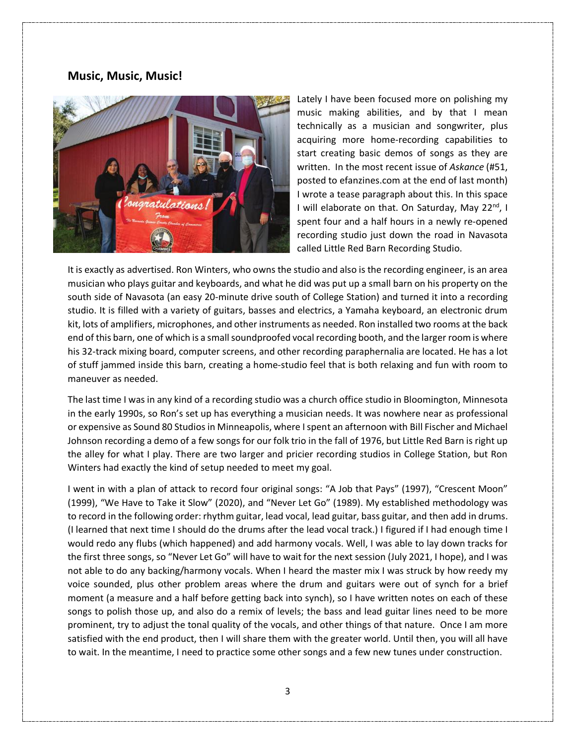## **Music, Music, Music!**



Lately I have been focused more on polishing my music making abilities, and by that I mean technically as a musician and songwriter, plus acquiring more home-recording capabilities to start creating basic demos of songs as they are written. In the most recent issue of *Askance* (#51, posted to efanzines.com at the end of last month) I wrote a tease paragraph about this. In this space I will elaborate on that. On Saturday, May 22<sup>nd</sup>, I spent four and a half hours in a newly re-opened recording studio just down the road in Navasota called Little Red Barn Recording Studio.

It is exactly as advertised. Ron Winters, who owns the studio and also is the recording engineer, is an area musician who plays guitar and keyboards, and what he did was put up a small barn on his property on the south side of Navasota (an easy 20-minute drive south of College Station) and turned it into a recording studio. It is filled with a variety of guitars, basses and electrics, a Yamaha keyboard, an electronic drum kit, lots of amplifiers, microphones, and other instruments as needed. Ron installed two rooms at the back end of this barn, one of which is a small soundproofed vocal recording booth, and the larger room is where his 32-track mixing board, computer screens, and other recording paraphernalia are located. He has a lot of stuff jammed inside this barn, creating a home-studio feel that is both relaxing and fun with room to maneuver as needed.

The last time I was in any kind of a recording studio was a church office studio in Bloomington, Minnesota in the early 1990s, so Ron's set up has everything a musician needs. It was nowhere near as professional or expensive as Sound 80 Studios in Minneapolis, where I spent an afternoon with Bill Fischer and Michael Johnson recording a demo of a few songs for our folk trio in the fall of 1976, but Little Red Barn is right up the alley for what I play. There are two larger and pricier recording studios in College Station, but Ron Winters had exactly the kind of setup needed to meet my goal.

I went in with a plan of attack to record four original songs: "A Job that Pays" (1997), "Crescent Moon" (1999), "We Have to Take it Slow" (2020), and "Never Let Go" (1989). My established methodology was to record in the following order: rhythm guitar, lead vocal, lead guitar, bass guitar, and then add in drums. (I learned that next time I should do the drums after the lead vocal track.) I figured if I had enough time I would redo any flubs (which happened) and add harmony vocals. Well, I was able to lay down tracks for the first three songs, so "Never Let Go" will have to wait for the next session (July 2021, I hope), and I was not able to do any backing/harmony vocals. When I heard the master mix I was struck by how reedy my voice sounded, plus other problem areas where the drum and guitars were out of synch for a brief moment (a measure and a half before getting back into synch), so I have written notes on each of these songs to polish those up, and also do a remix of levels; the bass and lead guitar lines need to be more prominent, try to adjust the tonal quality of the vocals, and other things of that nature. Once I am more satisfied with the end product, then I will share them with the greater world. Until then, you will all have to wait. In the meantime, I need to practice some other songs and a few new tunes under construction.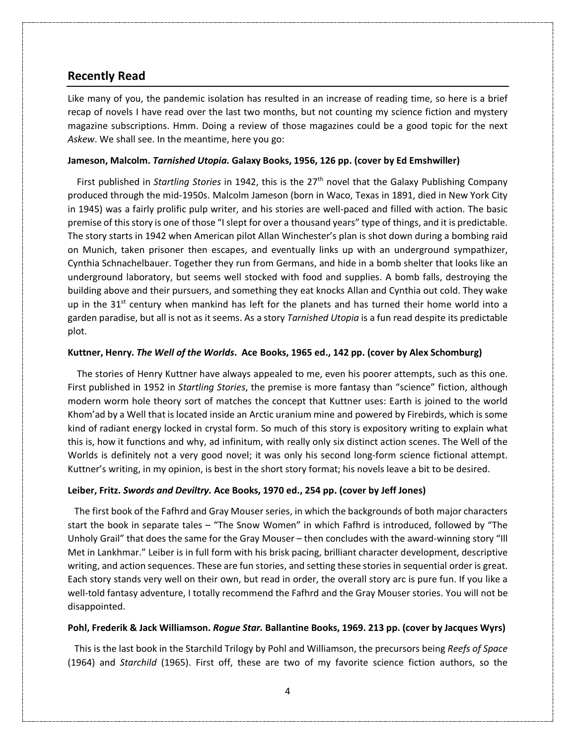## **Recently Read**

Like many of you, the pandemic isolation has resulted in an increase of reading time, so here is a brief recap of novels I have read over the last two months, but not counting my science fiction and mystery magazine subscriptions. Hmm. Doing a review of those magazines could be a good topic for the next *Askew*. We shall see. In the meantime, here you go:

#### **Jameson, Malcolm.** *Tarnished Utopia.* **Galaxy Books, 1956, 126 pp. (cover by Ed Emshwiller)**

 First published in *Startling Stories* in 1942, this is the 27th novel that the Galaxy Publishing Company produced through the mid-1950s. Malcolm Jameson (born in Waco, Texas in 1891, died in New York City in 1945) was a fairly prolific pulp writer, and his stories are well-paced and filled with action. The basic premise of this story is one of those "I slept for over a thousand years" type of things, and it is predictable. The story starts in 1942 when American pilot Allan Winchester's plan is shot down during a bombing raid on Munich, taken prisoner then escapes, and eventually links up with an underground sympathizer, Cynthia Schnachelbauer. Together they run from Germans, and hide in a bomb shelter that looks like an underground laboratory, but seems well stocked with food and supplies. A bomb falls, destroying the building above and their pursuers, and something they eat knocks Allan and Cynthia out cold. They wake up in the  $31<sup>st</sup>$  century when mankind has left for the planets and has turned their home world into a garden paradise, but all is not as it seems. As a story *Tarnished Utopia* is a fun read despite its predictable plot.

#### **Kuttner, Henry.** *The Well of the Worlds***. Ace Books, 1965 ed., 142 pp. (cover by Alex Schomburg)**

The stories of Henry Kuttner have always appealed to me, even his poorer attempts, such as this one. First published in 1952 in *Startling Stories*, the premise is more fantasy than "science" fiction, although modern worm hole theory sort of matches the concept that Kuttner uses: Earth is joined to the world Khom'ad by a Well that is located inside an Arctic uranium mine and powered by Firebirds, which is some kind of radiant energy locked in crystal form. So much of this story is expository writing to explain what this is, how it functions and why, ad infinitum, with really only six distinct action scenes. The Well of the Worlds is definitely not a very good novel; it was only his second long-form science fictional attempt. Kuttner's writing, in my opinion, is best in the short story format; his novels leave a bit to be desired.

#### **Leiber, Fritz.** *Swords and Deviltry.* **Ace Books, 1970 ed., 254 pp. (cover by Jeff Jones)**

 The first book of the Fafhrd and Gray Mouser series, in which the backgrounds of both major characters start the book in separate tales – "The Snow Women" in which Fafhrd is introduced, followed by "The Unholy Grail" that does the same for the Gray Mouser – then concludes with the award-winning story "Ill Met in Lankhmar." Leiber is in full form with his brisk pacing, brilliant character development, descriptive writing, and action sequences. These are fun stories, and setting these stories in sequential order is great. Each story stands very well on their own, but read in order, the overall story arc is pure fun. If you like a well-told fantasy adventure, I totally recommend the Fafhrd and the Gray Mouser stories. You will not be disappointed.

#### **Pohl, Frederik & Jack Williamson.** *Rogue Star.* **Ballantine Books, 1969. 213 pp. (cover by Jacques Wyrs)**

 This is the last book in the Starchild Trilogy by Pohl and Williamson, the precursors being *Reefs of Space* (1964) and *Starchild* (1965). First off, these are two of my favorite science fiction authors, so the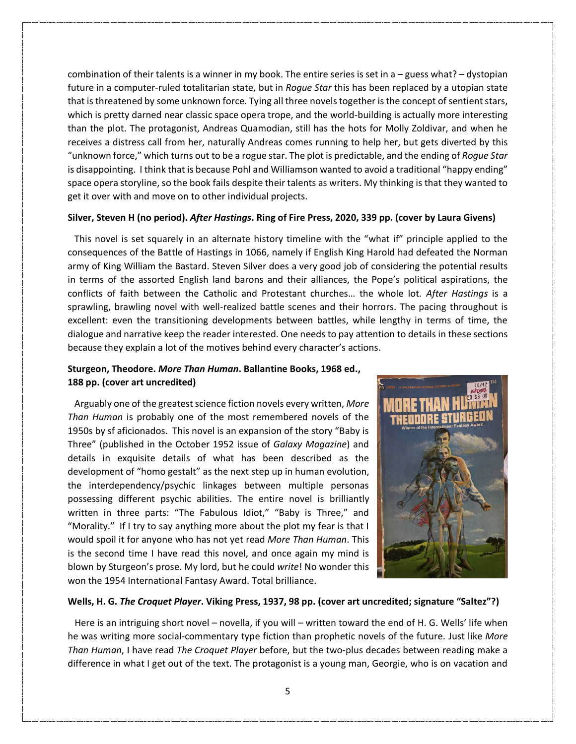combination of their talents is a winner in my book. The entire series is set in a – guess what? – dystopian future in a computer-ruled totalitarian state, but in *Rogue Star* this has been replaced by a utopian state that is threatened by some unknown force. Tying all three novels together is the concept of sentient stars, which is pretty darned near classic space opera trope, and the world-building is actually more interesting than the plot. The protagonist, Andreas Quamodian, still has the hots for Molly Zoldivar, and when he receives a distress call from her, naturally Andreas comes running to help her, but gets diverted by this "unknown force," which turns out to be a rogue star. The plot is predictable, and the ending of *Rogue Star* is disappointing. I think that is because Pohl and Williamson wanted to avoid a traditional "happy ending" space opera storyline, so the book fails despite their talents as writers. My thinking is that they wanted to get it over with and move on to other individual projects.

#### **Silver, Steven H (no period).** *After Hastings***. Ring of Fire Press, 2020, 339 pp. (cover by Laura Givens)**

This novel is set squarely in an alternate history timeline with the "what if" principle applied to the consequences of the Battle of Hastings in 1066, namely if English King Harold had defeated the Norman army of King William the Bastard. Steven Silver does a very good job of considering the potential results in terms of the assorted English land barons and their alliances, the Pope's political aspirations, the conflicts of faith between the Catholic and Protestant churches… the whole lot. *After Hastings* is a sprawling, brawling novel with well-realized battle scenes and their horrors. The pacing throughout is excellent: even the transitioning developments between battles, while lengthy in terms of time, the dialogue and narrative keep the reader interested. One needs to pay attention to details in these sections because they explain a lot of the motives behind every character's actions.

### **Sturgeon, Theodore.** *More Than Human***. Ballantine Books, 1968 ed., 188 pp. (cover art uncredited)**

 Arguably one of the greatest science fiction novels every written, *More Than Human* is probably one of the most remembered novels of the 1950s by sf aficionados. This novel is an expansion of the story "Baby is Three" (published in the October 1952 issue of *Galaxy Magazine*) and details in exquisite details of what has been described as the development of "homo gestalt" as the next step up in human evolution, the interdependency/psychic linkages between multiple personas possessing different psychic abilities. The entire novel is brilliantly written in three parts: "The Fabulous Idiot," "Baby is Three," and "Morality." If I try to say anything more about the plot my fear is that I would spoil it for anyone who has not yet read *More Than Human*. This is the second time I have read this novel, and once again my mind is blown by Sturgeon's prose. My lord, but he could *write*! No wonder this won the 1954 International Fantasy Award. Total brilliance.



#### **Wells, H. G.** *The Croquet Player***. Viking Press, 1937, 98 pp. (cover art uncredited; signature "Saltez"?)**

 Here is an intriguing short novel – novella, if you will – written toward the end of H. G. Wells' life when he was writing more social-commentary type fiction than prophetic novels of the future. Just like *More Than Human*, I have read *The Croquet Player* before, but the two-plus decades between reading make a difference in what I get out of the text. The protagonist is a young man, Georgie, who is on vacation and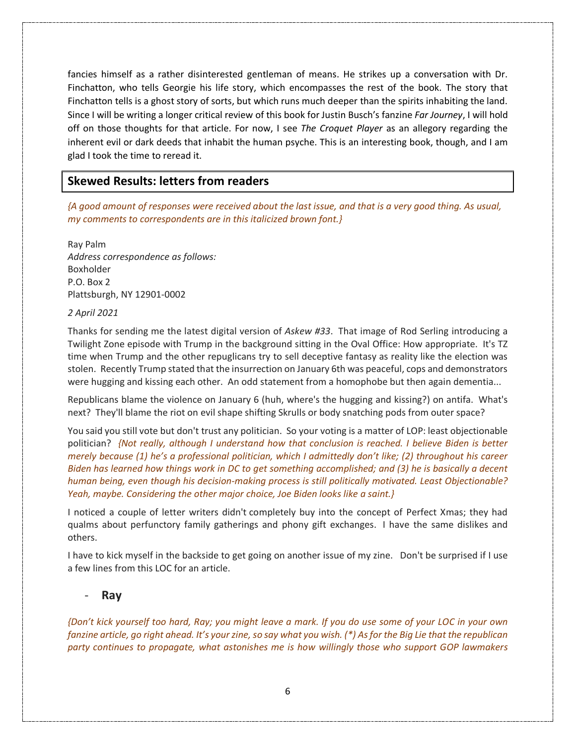fancies himself as a rather disinterested gentleman of means. He strikes up a conversation with Dr. Finchatton, who tells Georgie his life story, which encompasses the rest of the book. The story that Finchatton tells is a ghost story of sorts, but which runs much deeper than the spirits inhabiting the land. Since I will be writing a longer critical review of this book for Justin Busch's fanzine *Far Journey*, I will hold off on those thoughts for that article. For now, I see *The Croquet Player* as an allegory regarding the inherent evil or dark deeds that inhabit the human psyche. This is an interesting book, though, and I am glad I took the time to reread it.

## **Skewed Results: letters from readers**

*{A good amount of responses were received about the last issue, and that is a very good thing. As usual, my comments to correspondents are in this italicized brown font.}*

Ray Palm *Address correspondence as follows:* Boxholder P.O. Box 2 Plattsburgh, NY 12901-0002

#### *2 April 2021*

Thanks for sending me the latest digital version of *Askew #33*. That image of Rod Serling introducing a Twilight Zone episode with Trump in the background sitting in the Oval Office: How appropriate. It's TZ time when Trump and the other repuglicans try to sell deceptive fantasy as reality like the election was stolen. Recently Trump stated that the insurrection on January 6th was peaceful, cops and demonstrators were hugging and kissing each other. An odd statement from a homophobe but then again dementia...

Republicans blame the violence on January 6 (huh, where's the hugging and kissing?) on antifa. What's next? They'll blame the riot on evil shape shifting Skrulls or body snatching pods from outer space?

You said you still vote but don't trust any politician. So your voting is a matter of LOP: least objectionable politician? *{Not really, although I understand how that conclusion is reached. I believe Biden is better merely because (1) he's a professional politician, which I admittedly don't like; (2) throughout his career Biden has learned how things work in DC to get something accomplished; and (3) he is basically a decent human being, even though his decision-making process is still politically motivated. Least Objectionable? Yeah, maybe. Considering the other major choice, Joe Biden looks like a saint.}*

I noticed a couple of letter writers didn't completely buy into the concept of Perfect Xmas; they had qualms about perfunctory family gatherings and phony gift exchanges. I have the same dislikes and others.

I have to kick myself in the backside to get going on another issue of my zine. Don't be surprised if I use a few lines from this LOC for an article.

### - **Ray**

*{Don't kick yourself too hard, Ray; you might leave a mark. If you do use some of your LOC in your own fanzine article, go right ahead. It's your zine, so say what you wish. (\*) As for the Big Lie that the republican party continues to propagate, what astonishes me is how willingly those who support GOP lawmakers*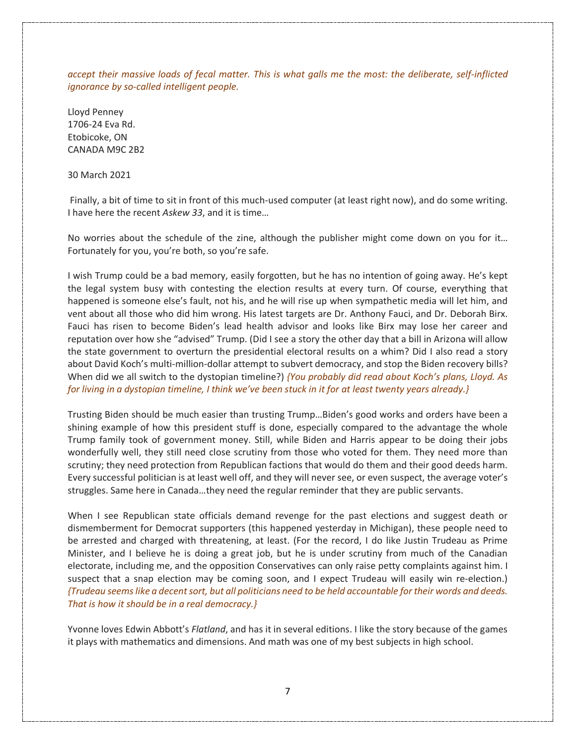*accept their massive loads of fecal matter. This is what galls me the most: the deliberate, self-inflicted ignorance by so-called intelligent people.* 

Lloyd Penney 1706-24 Eva Rd. Etobicoke, ON CANADA M9C 2B2

30 March 2021

Finally, a bit of time to sit in front of this much-used computer (at least right now), and do some writing. I have here the recent *Askew 33*, and it is time…

No worries about the schedule of the zine, although the publisher might come down on you for it… Fortunately for you, you're both, so you're safe.

I wish Trump could be a bad memory, easily forgotten, but he has no intention of going away. He's kept the legal system busy with contesting the election results at every turn. Of course, everything that happened is someone else's fault, not his, and he will rise up when sympathetic media will let him, and vent about all those who did him wrong. His latest targets are Dr. Anthony Fauci, and Dr. Deborah Birx. Fauci has risen to become Biden's lead health advisor and looks like Birx may lose her career and reputation over how she "advised" Trump. (Did I see a story the other day that a bill in Arizona will allow the state government to overturn the presidential electoral results on a whim? Did I also read a story about David Koch's multi-million-dollar attempt to subvert democracy, and stop the Biden recovery bills? When did we all switch to the dystopian timeline?) *{You probably did read about Koch's plans, Lloyd. As for living in a dystopian timeline, I think we've been stuck in it for at least twenty years already.}*

Trusting Biden should be much easier than trusting Trump…Biden's good works and orders have been a shining example of how this president stuff is done, especially compared to the advantage the whole Trump family took of government money. Still, while Biden and Harris appear to be doing their jobs wonderfully well, they still need close scrutiny from those who voted for them. They need more than scrutiny; they need protection from Republican factions that would do them and their good deeds harm. Every successful politician is at least well off, and they will never see, or even suspect, the average voter's struggles. Same here in Canada…they need the regular reminder that they are public servants.

When I see Republican state officials demand revenge for the past elections and suggest death or dismemberment for Democrat supporters (this happened yesterday in Michigan), these people need to be arrested and charged with threatening, at least. (For the record, I do like Justin Trudeau as Prime Minister, and I believe he is doing a great job, but he is under scrutiny from much of the Canadian electorate, including me, and the opposition Conservatives can only raise petty complaints against him. I suspect that a snap election may be coming soon, and I expect Trudeau will easily win re-election.) *{Trudeau seems like a decent sort, but all politicians need to be held accountable for their words and deeds. That is how it should be in a real democracy.}*

Yvonne loves Edwin Abbott's *Flatland*, and has it in several editions. I like the story because of the games it plays with mathematics and dimensions. And math was one of my best subjects in high school.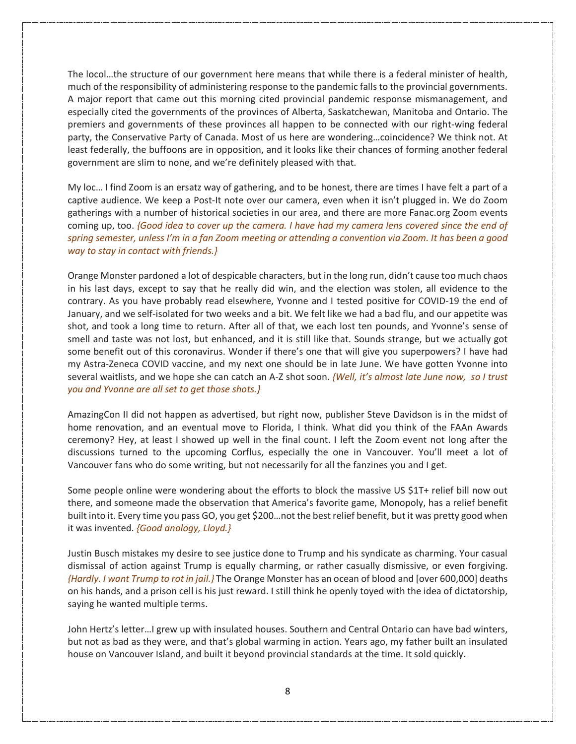The locol…the structure of our government here means that while there is a federal minister of health, much of the responsibility of administering response to the pandemic falls to the provincial governments. A major report that came out this morning cited provincial pandemic response mismanagement, and especially cited the governments of the provinces of Alberta, Saskatchewan, Manitoba and Ontario. The premiers and governments of these provinces all happen to be connected with our right-wing federal party, the Conservative Party of Canada. Most of us here are wondering…coincidence? We think not. At least federally, the buffoons are in opposition, and it looks like their chances of forming another federal government are slim to none, and we're definitely pleased with that.

My loc… I find Zoom is an ersatz way of gathering, and to be honest, there are times I have felt a part of a captive audience. We keep a Post-It note over our camera, even when it isn't plugged in. We do Zoom gatherings with a number of historical societies in our area, and there are more Fanac.org Zoom events coming up, too. *{Good idea to cover up the camera. I have had my camera lens covered since the end of spring semester, unless I'm in a fan Zoom meeting or attending a convention via Zoom. It has been a good way to stay in contact with friends.}*

Orange Monster pardoned a lot of despicable characters, but in the long run, didn't cause too much chaos in his last days, except to say that he really did win, and the election was stolen, all evidence to the contrary. As you have probably read elsewhere, Yvonne and I tested positive for COVID-19 the end of January, and we self-isolated for two weeks and a bit. We felt like we had a bad flu, and our appetite was shot, and took a long time to return. After all of that, we each lost ten pounds, and Yvonne's sense of smell and taste was not lost, but enhanced, and it is still like that. Sounds strange, but we actually got some benefit out of this coronavirus. Wonder if there's one that will give you superpowers? I have had my Astra-Zeneca COVID vaccine, and my next one should be in late June. We have gotten Yvonne into several waitlists, and we hope she can catch an A-Z shot soon. *{Well, it's almost late June now, so I trust you and Yvonne are all set to get those shots.}*

AmazingCon II did not happen as advertised, but right now, publisher Steve Davidson is in the midst of home renovation, and an eventual move to Florida, I think. What did you think of the FAAn Awards ceremony? Hey, at least I showed up well in the final count. I left the Zoom event not long after the discussions turned to the upcoming Corflus, especially the one in Vancouver. You'll meet a lot of Vancouver fans who do some writing, but not necessarily for all the fanzines you and I get.

Some people online were wondering about the efforts to block the massive US \$1T+ relief bill now out there, and someone made the observation that America's favorite game, Monopoly, has a relief benefit built into it. Every time you pass GO, you get \$200…not the best relief benefit, but it was pretty good when it was invented. *{Good analogy, Lloyd.}* 

Justin Busch mistakes my desire to see justice done to Trump and his syndicate as charming. Your casual dismissal of action against Trump is equally charming, or rather casually dismissive, or even forgiving. *{Hardly. I want Trump to rot in jail.}* The Orange Monster has an ocean of blood and [over 600,000] deaths on his hands, and a prison cell is his just reward. I still think he openly toyed with the idea of dictatorship, saying he wanted multiple terms.

John Hertz's letter…I grew up with insulated houses. Southern and Central Ontario can have bad winters, but not as bad as they were, and that's global warming in action. Years ago, my father built an insulated house on Vancouver Island, and built it beyond provincial standards at the time. It sold quickly.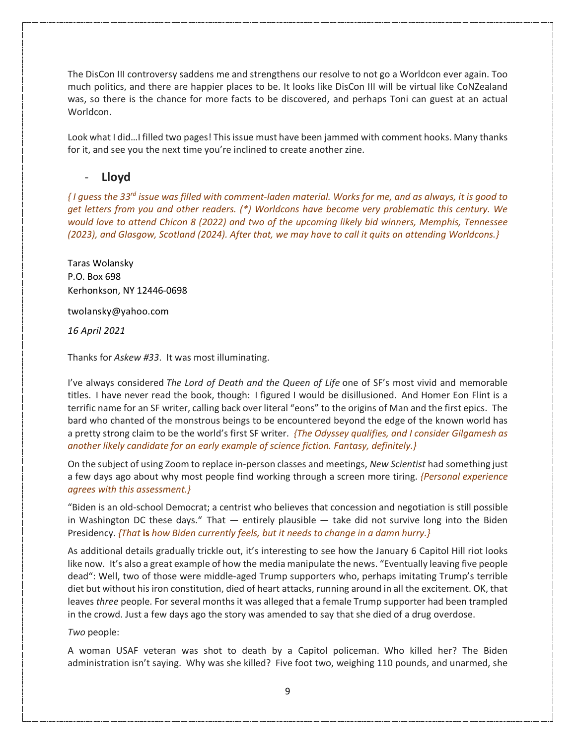The DisCon III controversy saddens me and strengthens our resolve to not go a Worldcon ever again. Too much politics, and there are happier places to be. It looks like DisCon III will be virtual like CoNZealand was, so there is the chance for more facts to be discovered, and perhaps Toni can guest at an actual Worldcon.

Look what I did...I filled two pages! This issue must have been jammed with comment hooks. Many thanks for it, and see you the next time you're inclined to create another zine.

## - **Lloyd**

*{ I guess the 33rd issue was filled with comment-laden material. Works for me, and as always, it is good to get letters from you and other readers. (\*) Worldcons have become very problematic this century. We would love to attend Chicon 8 (2022) and two of the upcoming likely bid winners, Memphis, Tennessee (2023), and Glasgow, Scotland (2024). After that, we may have to call it quits on attending Worldcons.}*

Taras Wolansky P.O. Box 698 Kerhonkson, NY 12446-0698

twolansky@yahoo.com

*16 April 2021*

Thanks for *Askew #33*. It was most illuminating.

I've always considered *The Lord of Death and the Queen of Life* one of SF's most vivid and memorable titles. I have never read the book, though: I figured I would be disillusioned. And Homer Eon Flint is a terrific name for an SF writer, calling back over literal "eons" to the origins of Man and the first epics. The bard who chanted of the monstrous beings to be encountered beyond the edge of the known world has a pretty strong claim to be the world's first SF writer. *{The Odyssey qualifies, and I consider Gilgamesh as another likely candidate for an early example of science fiction. Fantasy, definitely.}*

On the subject of using Zoom to replace in-person classes and meetings, *New Scientist* had something just a few days ago about why most people find working through a screen more tiring. *{Personal experience agrees with this assessment.}*

"Biden is an old-school Democrat; a centrist who believes that concession and negotiation is still possible in Washington DC these days." That  $-$  entirely plausible  $-$  take did not survive long into the Biden Presidency. *{That* **is** *how Biden currently feels, but it needs to change in a damn hurry.}*

As additional details gradually trickle out, it's interesting to see how the January 6 Capitol Hill riot looks like now. It's also a great example of how the media manipulate the news. "Eventually leaving five people dead": Well, two of those were middle-aged Trump supporters who, perhaps imitating Trump's terrible diet but without his iron constitution, died of heart attacks, running around in all the excitement. OK, that leaves *three* people. For several months it was alleged that a female Trump supporter had been trampled in the crowd. Just a few days ago the story was amended to say that she died of a drug overdose.

*Two* people:

A woman USAF veteran was shot to death by a Capitol policeman. Who killed her? The Biden administration isn't saying. Why was she killed? Five foot two, weighing 110 pounds, and unarmed, she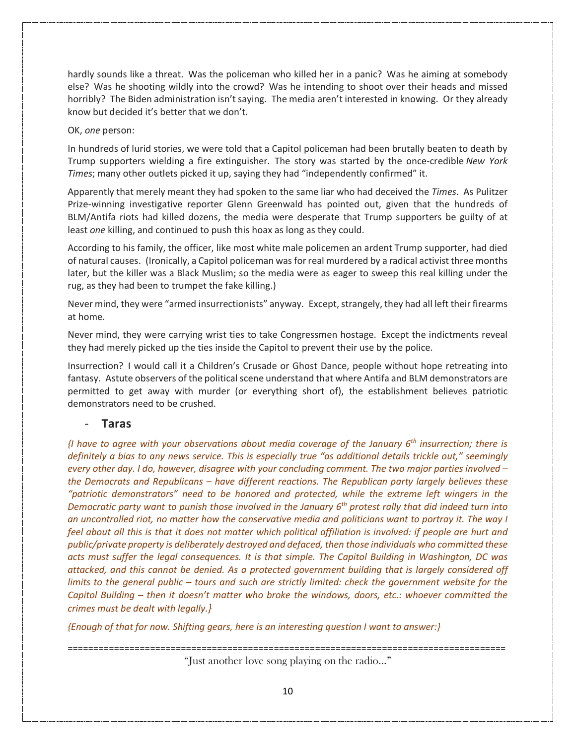hardly sounds like a threat. Was the policeman who killed her in a panic? Was he aiming at somebody else? Was he shooting wildly into the crowd? Was he intending to shoot over their heads and missed horribly? The Biden administration isn't saying. The media aren't interested in knowing. Or they already know but decided it's better that we don't.

### OK, *one* person:

In hundreds of lurid stories, we were told that a Capitol policeman had been brutally beaten to death by Trump supporters wielding a fire extinguisher. The story was started by the once-credible *New York Times*; many other outlets picked it up, saying they had "independently confirmed" it.

Apparently that merely meant they had spoken to the same liar who had deceived the *Times*. As Pulitzer Prize-winning investigative reporter Glenn Greenwald has pointed out, given that the hundreds of BLM/Antifa riots had killed dozens, the media were desperate that Trump supporters be guilty of at least *one* killing, and continued to push this hoax as long as they could.

According to his family, the officer, like most white male policemen an ardent Trump supporter, had died of natural causes. (Ironically, a Capitol policeman was for real murdered by a radical activist three months later, but the killer was a Black Muslim; so the media were as eager to sweep this real killing under the rug, as they had been to trumpet the fake killing.)

Never mind, they were "armed insurrectionists" anyway. Except, strangely, they had all left their firearms at home.

Never mind, they were carrying wrist ties to take Congressmen hostage. Except the indictments reveal they had merely picked up the ties inside the Capitol to prevent their use by the police.

Insurrection? I would call it a Children's Crusade or Ghost Dance, people without hope retreating into fantasy. Astute observers of the political scene understand that where Antifa and BLM demonstrators are permitted to get away with murder (or everything short of), the establishment believes patriotic demonstrators need to be crushed.

## - **Taras**

*{I have to agree with your observations about media coverage of the January 6th insurrection; there is definitely a bias to any news service. This is especially true "as additional details trickle out," seemingly every other day. I do, however, disagree with your concluding comment. The two major parties involved – the Democrats and Republicans – have different reactions. The Republican party largely believes these "patriotic demonstrators" need to be honored and protected, while the extreme left wingers in the Democratic party want to punish those involved in the January 6th protest rally that did indeed turn into an uncontrolled riot, no matter how the conservative media and politicians want to portray it. The way I*  feel about all this is that it does not matter which political affiliation is involved: if people are hurt and *public/private property is deliberately destroyed and defaced, then those individuals who committed these acts must suffer the legal consequences. It is that simple. The Capitol Building in Washington, DC was attacked, and this cannot be denied. As a protected government building that is largely considered off limits to the general public – tours and such are strictly limited: check the government website for the Capitol Building – then it doesn't matter who broke the windows, doors, etc.: whoever committed the crimes must be dealt with legally.}*

*{Enough of that for now. Shifting gears, here is an interesting question I want to answer:}*

===================================================================================== "Just another love song playing on the radio…"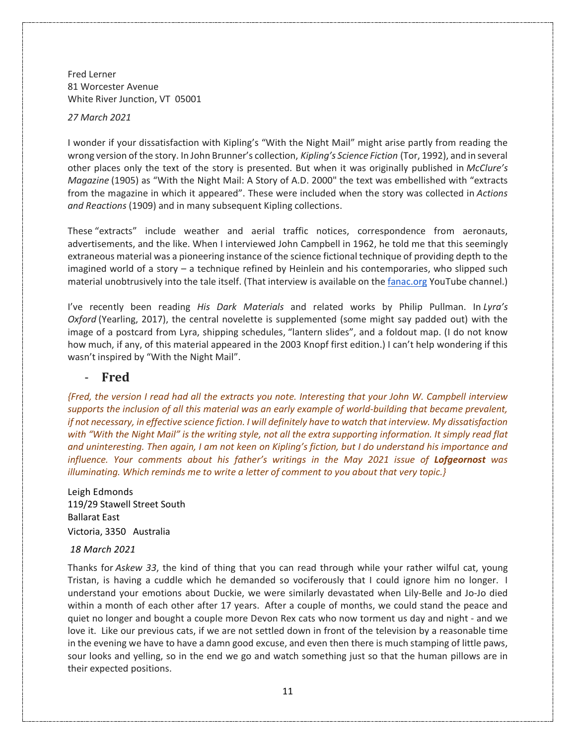Fred Lerner 81 Worcester Avenue White River Junction, VT 05001

*27 March 2021*

I wonder if your dissatisfaction with Kipling's "With the Night Mail" might arise partly from reading the wrong version of the story. In John Brunner's collection, *Kipling's Science Fiction* (Tor, 1992), and in several other places only the text of the story is presented. But when it was originally published in *McClure's Magazine* (1905) as "With the Night Mail: A Story of A.D. 2000" the text was embellished with "extracts from the magazine in which it appeared". These were included when the story was collected in *Actions and Reactions* (1909) and in many subsequent Kipling collections.

These "extracts" include weather and aerial traffic notices, correspondence from aeronauts, advertisements, and the like. When I interviewed John Campbell in 1962, he told me that this seemingly extraneous material was a pioneering instance of the science fictional technique of providing depth to the imagined world of a story – a technique refined by Heinlein and his contemporaries, who slipped such material unobtrusively into the tale itself. (That interview is available on the fanac.org YouTube channel.)

I've recently been reading *His Dark Materials* and related works by Philip Pullman. In *Lyra's Oxford* (Yearling, 2017), the central novelette is supplemented (some might say padded out) with the image of a postcard from Lyra, shipping schedules, "lantern slides", and a foldout map. (I do not know how much, if any, of this material appeared in the 2003 Knopf first edition.) I can't help wondering if this wasn't inspired by "With the Night Mail".

### - **Fred**

*{Fred, the version I read had all the extracts you note. Interesting that your John W. Campbell interview supports the inclusion of all this material was an early example of world-building that became prevalent, if not necessary, in effective science fiction. I will definitely have to watch that interview. My dissatisfaction with "With the Night Mail" is the writing style, not all the extra supporting information. It simply read flat and uninteresting. Then again, I am not keen on Kipling's fiction, but I do understand his importance and influence. Your comments about his father's writings in the May 2021 issue of Lofgeornost was illuminating. Which reminds me to write a letter of comment to you about that very topic.}*

Leigh Edmonds 119/29 Stawell Street South Ballarat East Victoria, 3350 Australia

#### *18 March 2021*

Thanks for *Askew 33*, the kind of thing that you can read through while your rather wilful cat, young Tristan, is having a cuddle which he demanded so vociferously that I could ignore him no longer. I understand your emotions about Duckie, we were similarly devastated when Lily-Belle and Jo-Jo died within a month of each other after 17 years. After a couple of months, we could stand the peace and quiet no longer and bought a couple more Devon Rex cats who now torment us day and night - and we love it. Like our previous cats, if we are not settled down in front of the television by a reasonable time in the evening we have to have a damn good excuse, and even then there is much stamping of little paws, sour looks and yelling, so in the end we go and watch something just so that the human pillows are in their expected positions.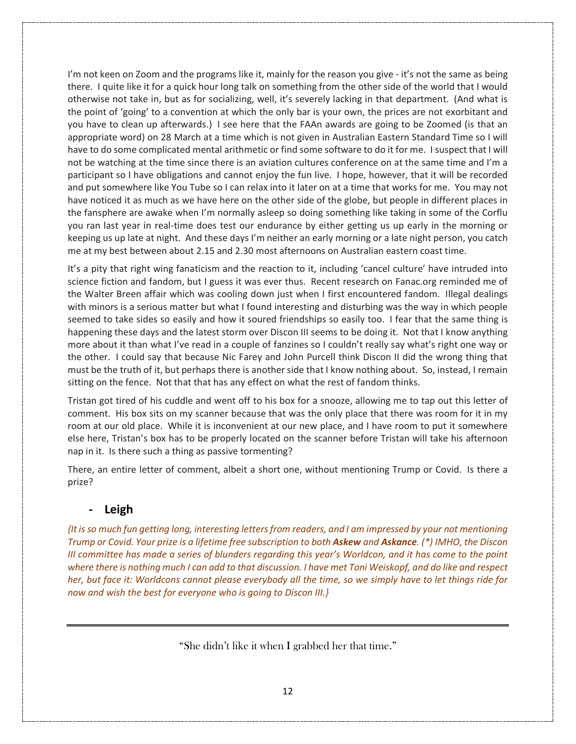I'm not keen on Zoom and the programs like it, mainly for the reason you give - it's not the same as being there. I quite like it for a quick hour long talk on something from the other side of the world that I would otherwise not take in, but as for socializing, well, it's severely lacking in that department. (And what is the point of 'going' to a convention at which the only bar is your own, the prices are not exorbitant and you have to clean up afterwards.) I see here that the FAAn awards are going to be Zoomed (is that an appropriate word) on 28 March at a time which is not given in Australian Eastern Standard Time so I will have to do some complicated mental arithmetic or find some software to do it for me. I suspect that I will not be watching at the time since there is an aviation cultures conference on at the same time and I'm a participant so I have obligations and cannot enjoy the fun live. I hope, however, that it will be recorded and put somewhere like You Tube so I can relax into it later on at a time that works for me. You may not have noticed it as much as we have here on the other side of the globe, but people in different places in the fansphere are awake when I'm normally asleep so doing something like taking in some of the Corflu you ran last year in real-time does test our endurance by either getting us up early in the morning or keeping us up late at night. And these days I'm neither an early morning or a late night person, you catch me at my best between about 2.15 and 2.30 most afternoons on Australian eastern coast time.

It's a pity that right wing fanaticism and the reaction to it, including 'cancel culture' have intruded into science fiction and fandom, but I guess it was ever thus. Recent research on Fanac.org reminded me of the Walter Breen affair which was cooling down just when I first encountered fandom. Illegal dealings with minors is a serious matter but what I found interesting and disturbing was the way in which people seemed to take sides so easily and how it soured friendships so easily too. I fear that the same thing is happening these days and the latest storm over Discon III seems to be doing it. Not that I know anything more about it than what I've read in a couple of fanzines so I couldn't really say what's right one way or the other. I could say that because Nic Farey and John Purcell think Discon II did the wrong thing that must be the truth of it, but perhaps there is another side that I know nothing about. So, instead, I remain sitting on the fence. Not that that has any effect on what the rest of fandom thinks.

Tristan got tired of his cuddle and went off to his box for a snooze, allowing me to tap out this letter of comment. His box sits on my scanner because that was the only place that there was room for it in my room at our old place. While it is inconvenient at our new place, and I have room to put it somewhere else here, Tristan's box has to be properly located on the scanner before Tristan will take his afternoon nap in it. Is there such a thing as passive tormenting?

There, an entire letter of comment, albeit a short one, without mentioning Trump or Covid. Is there a prize?

# **- Leigh**

*{It is so much fun getting long, interesting letters from readers, and I am impressed by your not mentioning Trump or Covid. Your prize is a lifetime free subscription to both Askew and Askance. (\*) IMHO, the Discon III committee has made a series of blunders regarding this year's Worldcon, and it has come to the point where there is nothing much I can add to that discussion. I have met Toni Weiskopf, and do like and respect her, but face it: Worldcons cannot please everybody all the time, so we simply have to let things ride for now and wish the best for everyone who is going to Discon III.}* 

"She didn't like it when I grabbed her that time."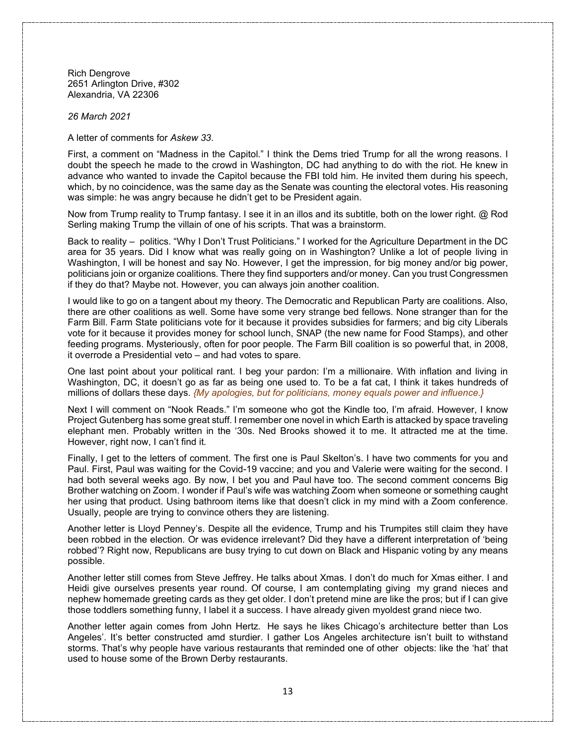Rich Dengrove 2651 Arlington Drive, #302 Alexandria, VA 22306

*26 March 2021*

A letter of comments for *Askew 33*.

First, a comment on "Madness in the Capitol." I think the Dems tried Trump for all the wrong reasons. I doubt the speech he made to the crowd in Washington, DC had anything to do with the riot. He knew in advance who wanted to invade the Capitol because the FBI told him. He invited them during his speech, which, by no coincidence, was the same day as the Senate was counting the electoral votes. His reasoning was simple: he was angry because he didn't get to be President again.

Now from Trump reality to Trump fantasy. I see it in an illos and its subtitle, both on the lower right. @ Rod Serling making Trump the villain of one of his scripts. That was a brainstorm.

Back to reality – politics. "Why I Don't Trust Politicians." I worked for the Agriculture Department in the DC area for 35 years. Did I know what was really going on in Washington? Unlike a lot of people living in Washington, I will be honest and say No. However, I get the impression, for big money and/or big power, politicians join or organize coalitions. There they find supporters and/or money. Can you trust Congressmen if they do that? Maybe not. However, you can always join another coalition.

I would like to go on a tangent about my theory. The Democratic and Republican Party are coalitions. Also, there are other coalitions as well. Some have some very strange bed fellows. None stranger than for the Farm Bill. Farm State politicians vote for it because it provides subsidies for farmers; and big city Liberals vote for it because it provides money for school lunch, SNAP (the new name for Food Stamps), and other feeding programs. Mysteriously, often for poor people. The Farm Bill coalition is so powerful that, in 2008, it overrode a Presidential veto – and had votes to spare.

One last point about your political rant. I beg your pardon: I'm a millionaire. With inflation and living in Washington, DC, it doesn't go as far as being one used to. To be a fat cat, I think it takes hundreds of millions of dollars these days. *{My apologies, but for politicians, money equals power and influence.}*

Next I will comment on "Nook Reads." I'm someone who got the Kindle too, I'm afraid. However, I know Project Gutenberg has some great stuff. I remember one novel in which Earth is attacked by space traveling elephant men. Probably written in the '30s. Ned Brooks showed it to me. It attracted me at the time. However, right now, I can't find it.

Finally, I get to the letters of comment. The first one is Paul Skelton's. I have two comments for you and Paul. First, Paul was waiting for the Covid-19 vaccine; and you and Valerie were waiting for the second. I had both several weeks ago. By now, I bet you and Paul have too. The second comment concerns Big Brother watching on Zoom. I wonder if Paul's wife was watching Zoom when someone or something caught her using that product. Using bathroom items like that doesn't click in my mind with a Zoom conference. Usually, people are trying to convince others they are listening.

Another letter is Lloyd Penney's. Despite all the evidence, Trump and his Trumpites still claim they have been robbed in the election. Or was evidence irrelevant? Did they have a different interpretation of 'being robbed'? Right now, Republicans are busy trying to cut down on Black and Hispanic voting by any means possible.

Another letter still comes from Steve Jeffrey. He talks about Xmas. I don't do much for Xmas either. I and Heidi give ourselves presents year round. Of course, I am contemplating giving my grand nieces and nephew homemade greeting cards as they get older. I don't pretend mine are like the pros; but if I can give those toddlers something funny, I label it a success. I have already given myoldest grand niece two.

Another letter again comes from John Hertz. He says he likes Chicago's architecture better than Los Angeles'. It's better constructed amd sturdier. I gather Los Angeles architecture isn't built to withstand storms. That's why people have various restaurants that reminded one of other objects: like the 'hat' that used to house some of the Brown Derby restaurants.